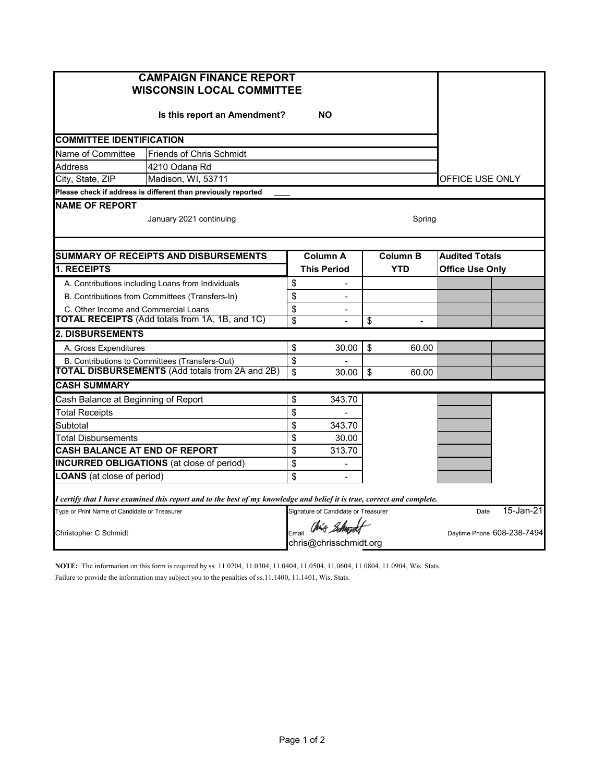| <b>CAMPAIGN FINANCE REPORT</b><br><b>WISCONSIN LOCAL COMMITTEE</b> |                          |                                         |                            |                                                                                  |                                                                                                                                                                     |  |  |  |  |  |  |  |
|--------------------------------------------------------------------|--------------------------|-----------------------------------------|----------------------------|----------------------------------------------------------------------------------|---------------------------------------------------------------------------------------------------------------------------------------------------------------------|--|--|--|--|--|--|--|
| <b>NO</b><br>Is this report an Amendment?                          |                          |                                         |                            |                                                                                  |                                                                                                                                                                     |  |  |  |  |  |  |  |
| <b>COMMITTEE IDENTIFICATION</b>                                    |                          |                                         |                            |                                                                                  |                                                                                                                                                                     |  |  |  |  |  |  |  |
| Name of Committee<br><b>Friends of Chris Schmidt</b>               |                          |                                         |                            |                                                                                  |                                                                                                                                                                     |  |  |  |  |  |  |  |
| <b>Address</b><br>4210 Odana Rd                                    |                          |                                         |                            |                                                                                  |                                                                                                                                                                     |  |  |  |  |  |  |  |
| City, State, ZIP<br>Madison, WI, 53711                             |                          |                                         |                            |                                                                                  |                                                                                                                                                                     |  |  |  |  |  |  |  |
| Please check if address is different than previously reported      |                          |                                         |                            |                                                                                  |                                                                                                                                                                     |  |  |  |  |  |  |  |
| <b>NAME OF REPORT</b><br>January 2021 continuing<br>Spring         |                          |                                         |                            |                                                                                  |                                                                                                                                                                     |  |  |  |  |  |  |  |
|                                                                    |                          |                                         |                            |                                                                                  |                                                                                                                                                                     |  |  |  |  |  |  |  |
|                                                                    |                          |                                         | <b>YTD</b>                 | <b>Office Use Only</b>                                                           |                                                                                                                                                                     |  |  |  |  |  |  |  |
| \$                                                                 |                          |                                         |                            |                                                                                  |                                                                                                                                                                     |  |  |  |  |  |  |  |
| \$                                                                 | $\blacksquare$           |                                         |                            |                                                                                  |                                                                                                                                                                     |  |  |  |  |  |  |  |
| \$                                                                 |                          |                                         |                            |                                                                                  |                                                                                                                                                                     |  |  |  |  |  |  |  |
| \$                                                                 |                          | \$                                      | $\overline{\phantom{a}}$   |                                                                                  |                                                                                                                                                                     |  |  |  |  |  |  |  |
|                                                                    |                          |                                         |                            |                                                                                  |                                                                                                                                                                     |  |  |  |  |  |  |  |
| \$                                                                 | 30.00                    | \$                                      | 60.00                      |                                                                                  |                                                                                                                                                                     |  |  |  |  |  |  |  |
| \$                                                                 |                          |                                         |                            |                                                                                  |                                                                                                                                                                     |  |  |  |  |  |  |  |
| \$                                                                 | 30.00                    | \$                                      | 60.00                      |                                                                                  |                                                                                                                                                                     |  |  |  |  |  |  |  |
|                                                                    |                          |                                         |                            |                                                                                  |                                                                                                                                                                     |  |  |  |  |  |  |  |
| \$                                                                 | 343.70                   |                                         |                            |                                                                                  |                                                                                                                                                                     |  |  |  |  |  |  |  |
| \$                                                                 |                          |                                         |                            |                                                                                  |                                                                                                                                                                     |  |  |  |  |  |  |  |
| \$                                                                 | 343.70                   |                                         |                            |                                                                                  |                                                                                                                                                                     |  |  |  |  |  |  |  |
| \$                                                                 | 30.00                    |                                         |                            |                                                                                  |                                                                                                                                                                     |  |  |  |  |  |  |  |
| \$                                                                 | 313.70                   |                                         |                            |                                                                                  |                                                                                                                                                                     |  |  |  |  |  |  |  |
| \$                                                                 | $\blacksquare$           |                                         |                            |                                                                                  |                                                                                                                                                                     |  |  |  |  |  |  |  |
| \$                                                                 | $\overline{\phantom{a}}$ |                                         |                            |                                                                                  |                                                                                                                                                                     |  |  |  |  |  |  |  |
|                                                                    |                          |                                         |                            |                                                                                  |                                                                                                                                                                     |  |  |  |  |  |  |  |
|                                                                    |                          |                                         | Date                       | 15-Jan-21                                                                        |                                                                                                                                                                     |  |  |  |  |  |  |  |
|                                                                    | Obrig <i>Island</i>      |                                         | Daytime Phone 608-238-7494 |                                                                                  |                                                                                                                                                                     |  |  |  |  |  |  |  |
|                                                                    |                          | Column A<br><b>This Period</b><br>Email |                            | <b>Column B</b><br>Signature of Candidate or Treasurer<br>chris@chrisschmidt.org | OFFICE USE ONLY<br><b>Audited Totals</b><br>I certify that I have examined this report and to the best of my knowledge and belief it is true, correct and complete. |  |  |  |  |  |  |  |

**NOTE:** The information on this form is required by ss. 11.0204, 11.0304, 11.0404, 11.0504, 11.0604, 11.0804, 11.0904, Wis. Stats. Failure to provide the information may subject you to the penalties of ss.11.1400, 11.1401, Wis. Stats.